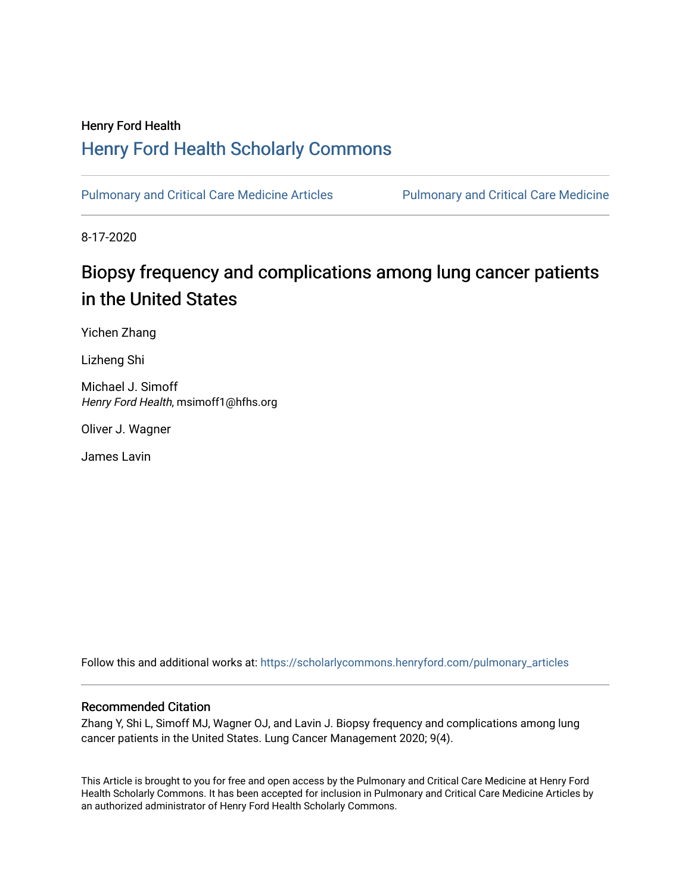### Henry Ford Health [Henry Ford Health Scholarly Commons](https://scholarlycommons.henryford.com/)

[Pulmonary and Critical Care Medicine Articles](https://scholarlycommons.henryford.com/pulmonary_articles) Pulmonary and Critical Care Medicine

8-17-2020

### Biopsy frequency and complications among lung cancer patients in the United States

Yichen Zhang

Lizheng Shi

Michael J. Simoff Henry Ford Health, msimoff1@hfhs.org

Oliver J. Wagner

James Lavin

Follow this and additional works at: [https://scholarlycommons.henryford.com/pulmonary\\_articles](https://scholarlycommons.henryford.com/pulmonary_articles?utm_source=scholarlycommons.henryford.com%2Fpulmonary_articles%2F120&utm_medium=PDF&utm_campaign=PDFCoverPages)

#### Recommended Citation

Zhang Y, Shi L, Simoff MJ, Wagner OJ, and Lavin J. Biopsy frequency and complications among lung cancer patients in the United States. Lung Cancer Management 2020; 9(4).

This Article is brought to you for free and open access by the Pulmonary and Critical Care Medicine at Henry Ford Health Scholarly Commons. It has been accepted for inclusion in Pulmonary and Critical Care Medicine Articles by an authorized administrator of Henry Ford Health Scholarly Commons.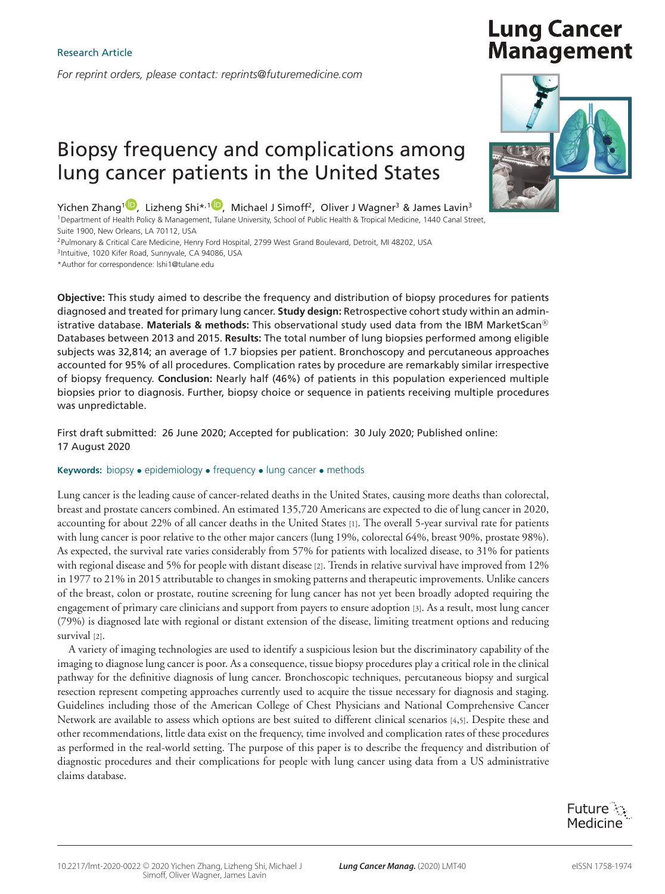*For reprint orders, please contact: reprints@futuremedicine.com*

## Biopsy frequency and complications among lung cancer patients in the United States

Yichen Zhang<sup>1</sup><sup>(D</sup>[,](https://orcid.org/0000-0002-7827-6766) Lizheng Shi<sup>\*,1</sup><sup>(D</sup>, Michael J Simoff<sup>2</sup>, Oliver J Wagner<sup>3</sup> & James Lavin<sup>3</sup>

1Department of Health Policy & Management, Tulane University, School of Public Health & Tropical Medicine, 1440 Canal Street, Suite 1900, New Orleans, LA 70112, USA

2Pulmonary & Critical Care Medicine, Henry Ford Hospital, 2799 West Grand Boulevard, Detroit, MI 48202, USA

<sup>3</sup>Intuitive, 1020 Kifer Road, Sunnyvale, CA 94086, USA

\*Author for correspondence: lshi1@tulane.edu

**Objective:** This study aimed to describe the frequency and distribution of biopsy procedures for patients diagnosed and treated for primary lung cancer. **Study design:** Retrospective cohort study within an administrative database. **Materials & methods:** This observational study used data from the IBM MarketScan® Databases between 2013 and 2015. **Results:** The total number of lung biopsies performed among eligible subjects was 32,814; an average of 1.7 biopsies per patient. Bronchoscopy and percutaneous approaches accounted for 95% of all procedures. Complication rates by procedure are remarkably similar irrespective of biopsy frequency. **Conclusion:** Nearly half (46%) of patients in this population experienced multiple biopsies prior to diagnosis. Further, biopsy choice or sequence in patients receiving multiple procedures was unpredictable.

First draft submitted: 26 June 2020; Accepted for publication: 30 July 2020; Published online: 17 August 2020

#### **Keywords:** biopsy • epidemiology • frequency • lung cancer • methods

Lung cancer is the leading cause of cancer-related deaths in the United States, causing more deaths than colorectal, breast and prostate cancers combined. An estimated 135,720 Americans are expected to die of lung cancer in 2020, accounting for about 22% of all cancer deaths in the United States [1]. The overall 5-year survival rate for patients with lung cancer is poor relative to the other major cancers (lung 19%, colorectal 64%, breast 90%, prostate 98%). As expected, the survival rate varies considerably from 57% for patients with localized disease, to 31% for patients with regional disease and 5% for people with distant disease [2]. Trends in relative survival have improved from 12% in 1977 to 21% in 2015 attributable to changes in smoking patterns and therapeutic improvements. Unlike cancers of the breast, colon or prostate, routine screening for lung cancer has not yet been broadly adopted requiring the engagement of primary care clinicians and support from payers to ensure adoption [3]. As a result, most lung cancer (79%) is diagnosed late with regional or distant extension of the disease, limiting treatment options and reducing survival [2].

A variety of imaging technologies are used to identify a suspicious lesion but the discriminatory capability of the imaging to diagnose lung cancer is poor. As a consequence, tissue biopsy procedures play a critical role in the clinical pathway for the definitive diagnosis of lung cancer. Bronchoscopic techniques, percutaneous biopsy and surgical resection represent competing approaches currently used to acquire the tissue necessary for diagnosis and staging. Guidelines including those of the American College of Chest Physicians and National Comprehensive Cancer Network are available to assess which options are best suited to different clinical scenarios [4,5]. Despite these and other recommendations, little data exist on the frequency, time involved and complication rates of these procedures as performed in the real-world setting. The purpose of this paper is to describe the frequency and distribution of diagnostic procedures and their complications for people with lung cancer using data from a US administrative claims database.



# **Lung Cancer Management**

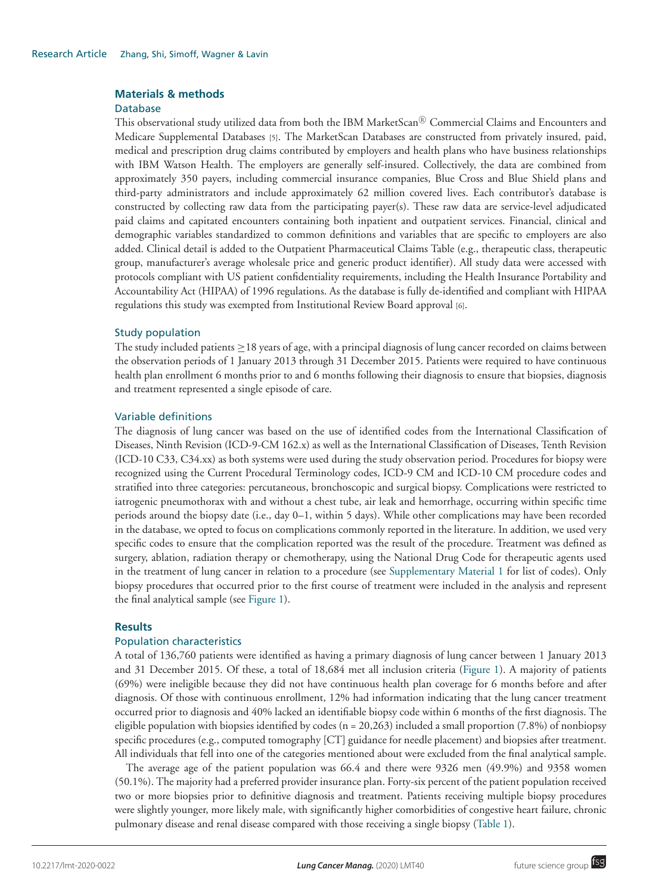#### **Materials & methods**

#### Database

This observational study utilized data from both the IBM MarketScan $^{\circledR}$  Commercial Claims and Encounters and Medicare Supplemental Databases [5]. The MarketScan Databases are constructed from privately insured, paid, medical and prescription drug claims contributed by employers and health plans who have business relationships with IBM Watson Health. The employers are generally self-insured. Collectively, the data are combined from approximately 350 payers, including commercial insurance companies, Blue Cross and Blue Shield plans and third-party administrators and include approximately 62 million covered lives. Each contributor's database is constructed by collecting raw data from the participating payer(s). These raw data are service-level adjudicated paid claims and capitated encounters containing both inpatient and outpatient services. Financial, clinical and demographic variables standardized to common definitions and variables that are specific to employers are also added. Clinical detail is added to the Outpatient Pharmaceutical Claims Table (e.g., therapeutic class, therapeutic group, manufacturer's average wholesale price and generic product identifier). All study data were accessed with protocols compliant with US patient confidentiality requirements, including the Health Insurance Portability and Accountability Act (HIPAA) of 1996 regulations. As the database is fully de-identified and compliant with HIPAA regulations this study was exempted from Institutional Review Board approval [6].

#### Study population

The study included patients ≥18 years of age, with a principal diagnosis of lung cancer recorded on claims between the observation periods of 1 January 2013 through 31 December 2015. Patients were required to have continuous health plan enrollment 6 months prior to and 6 months following their diagnosis to ensure that biopsies, diagnosis and treatment represented a single episode of care.

#### Variable definitions

The diagnosis of lung cancer was based on the use of identified codes from the International Classification of Diseases, Ninth Revision (ICD-9-CM 162.x) as well as the International Classification of Diseases, Tenth Revision (ICD-10 C33, C34.xx) as both systems were used during the study observation period. Procedures for biopsy were recognized using the Current Procedural Terminology codes, ICD-9 CM and ICD-10 CM procedure codes and stratified into three categories: percutaneous, bronchoscopic and surgical biopsy. Complications were restricted to iatrogenic pneumothorax with and without a chest tube, air leak and hemorrhage, occurring within specific time periods around the biopsy date (i.e., day 0–1, within 5 days). While other complications may have been recorded in the database, we opted to focus on complications commonly reported in the literature. In addition, we used very specific codes to ensure that the complication reported was the result of the procedure. Treatment was defined as surgery, ablation, radiation therapy or chemotherapy, using the National Drug Code for therapeutic agents used in the treatment of lung cancer in relation to a procedure (see Supplementary Material 1 for list of codes). Only biopsy procedures that occurred prior to the first course of treatment were included in the analysis and represent the final analytical sample (see Figure 1).

#### **Results**

#### Population characteristics

A total of 136,760 patients were identified as having a primary diagnosis of lung cancer between 1 January 2013 and 31 December 2015. Of these, a total of 18,684 met all inclusion criteria (Figure 1). A majority of patients (69%) were ineligible because they did not have continuous health plan coverage for 6 months before and after diagnosis. Of those with continuous enrollment, 12% had information indicating that the lung cancer treatment occurred prior to diagnosis and 40% lacked an identifiable biopsy code within 6 months of the first diagnosis. The eligible population with biopsies identified by codes ( $n = 20,263$ ) included a small proportion (7.8%) of nonbiopsy specific procedures (e.g., computed tomography [CT] guidance for needle placement) and biopsies after treatment. All individuals that fell into one of the categories mentioned about were excluded from the final analytical sample.

The average age of the patient population was 66.4 and there were 9326 men (49.9%) and 9358 women (50.1%). The majority had a preferred provider insurance plan. Forty-six percent of the patient population received two or more biopsies prior to definitive diagnosis and treatment. Patients receiving multiple biopsy procedures were slightly younger, more likely male, with significantly higher comorbidities of congestive heart failure, chronic pulmonary disease and renal disease compared with those receiving a single biopsy (Table 1).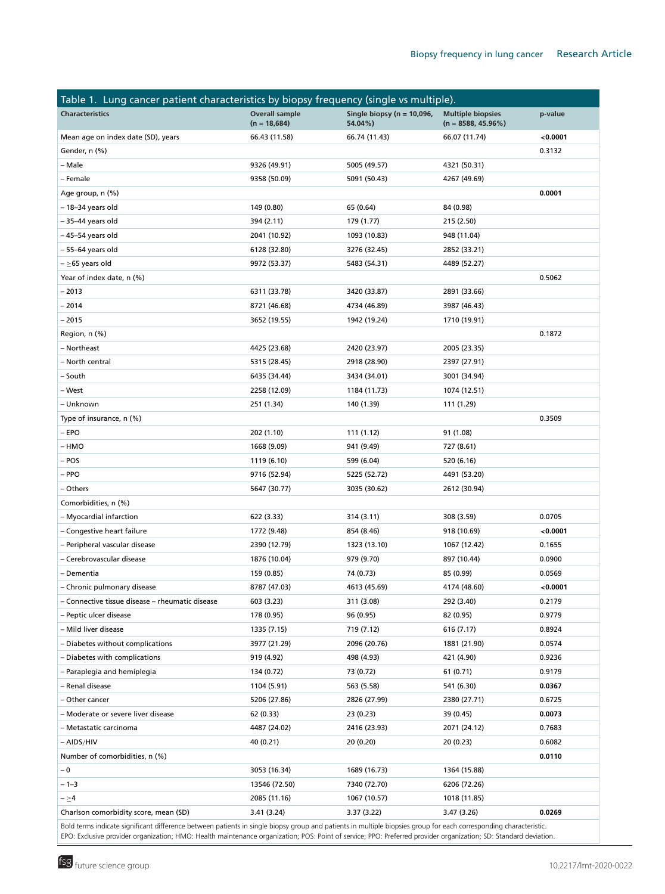| Table 1. Lung cancer patient characteristics by biopsy frequency (single vs multiple). |                                         |                                           |                                                   |         |  |  |
|----------------------------------------------------------------------------------------|-----------------------------------------|-------------------------------------------|---------------------------------------------------|---------|--|--|
| <b>Characteristics</b>                                                                 | <b>Overall sample</b><br>$(n = 18,684)$ | Single biopsy ( $n = 10,096$ ,<br>54.04%) | <b>Multiple biopsies</b><br>$(n = 8588, 45.96\%)$ | p-value |  |  |
| Mean age on index date (SD), years                                                     | 66.43 (11.58)                           | 66.74 (11.43)                             | 66.07 (11.74)                                     | 0.0001  |  |  |
| Gender, n (%)                                                                          |                                         |                                           |                                                   | 0.3132  |  |  |
| – Male                                                                                 | 9326 (49.91)                            | 5005 (49.57)                              | 4321 (50.31)                                      |         |  |  |
| - Female                                                                               | 9358 (50.09)                            | 5091 (50.43)                              | 4267 (49.69)                                      |         |  |  |
| Age group, n (%)                                                                       |                                         |                                           |                                                   | 0.0001  |  |  |
| - 18-34 years old                                                                      | 149 (0.80)                              | 65 (0.64)                                 | 84 (0.98)                                         |         |  |  |
| – 35–44 years old                                                                      | 394 (2.11)                              | 179 (1.77)                                | 215 (2.50)                                        |         |  |  |
| - 45-54 years old                                                                      | 2041 (10.92)                            | 1093 (10.83)                              | 948 (11.04)                                       |         |  |  |
| - 55-64 years old                                                                      | 6128 (32.80)                            | 3276 (32.45)                              | 2852 (33.21)                                      |         |  |  |
| $- \ge 65$ years old                                                                   | 9972 (53.37)                            | 5483 (54.31)                              | 4489 (52.27)                                      |         |  |  |
| Year of index date, n (%)                                                              |                                         |                                           |                                                   | 0.5062  |  |  |
| $-2013$                                                                                | 6311 (33.78)                            | 3420 (33.87)                              | 2891 (33.66)                                      |         |  |  |
| $-2014$                                                                                | 8721 (46.68)                            | 4734 (46.89)                              | 3987 (46.43)                                      |         |  |  |
| $-2015$                                                                                | 3652 (19.55)                            | 1942 (19.24)                              | 1710 (19.91)                                      |         |  |  |
| Region, n (%)                                                                          |                                         |                                           |                                                   | 0.1872  |  |  |
| - Northeast                                                                            | 4425 (23.68)                            | 2420 (23.97)                              | 2005 (23.35)                                      |         |  |  |
| - North central                                                                        | 5315 (28.45)                            | 2918 (28.90)                              | 2397 (27.91)                                      |         |  |  |
| - South                                                                                | 6435 (34.44)                            | 3434 (34.01)                              | 3001 (34.94)                                      |         |  |  |
| – West                                                                                 | 2258 (12.09)                            | 1184 (11.73)                              | 1074 (12.51)                                      |         |  |  |
| – Unknown                                                                              | 251 (1.34)                              | 140 (1.39)                                | 111 (1.29)                                        |         |  |  |
| Type of insurance, n (%)                                                               |                                         |                                           |                                                   | 0.3509  |  |  |
| $-$ EPO                                                                                | 202 (1.10)                              | 111 (1.12)                                | 91 (1.08)                                         |         |  |  |
| – HMO                                                                                  | 1668 (9.09)                             | 941 (9.49)                                | 727 (8.61)                                        |         |  |  |
| - POS                                                                                  | 1119 (6.10)                             | 599 (6.04)                                | 520 (6.16)                                        |         |  |  |
| - PPO                                                                                  | 9716 (52.94)                            | 5225 (52.72)                              | 4491 (53.20)                                      |         |  |  |
| - Others                                                                               | 5647 (30.77)                            | 3035 (30.62)                              | 2612 (30.94)                                      |         |  |  |
| Comorbidities, n (%)                                                                   |                                         |                                           |                                                   |         |  |  |
| - Myocardial infarction                                                                | 622 (3.33)                              | 314 (3.11)                                | 308 (3.59)                                        | 0.0705  |  |  |
| - Congestive heart failure                                                             | 1772 (9.48)                             | 854 (8.46)                                | 918 (10.69)                                       | 0.0001  |  |  |
| - Peripheral vascular disease                                                          | 2390 (12.79)                            | 1323 (13.10)                              | 1067 (12.42)                                      | 0.1655  |  |  |
| - Cerebrovascular disease                                                              | 1876 (10.04)                            | 979 (9.70)                                | 897 (10.44)                                       | 0.0900  |  |  |
| – Dementia                                                                             | 159 (0.85)                              | 74 (0.73)                                 | 85 (0.99)                                         | 0.0569  |  |  |
| - Chronic pulmonary disease                                                            | 8787 (47.03)                            | 4613 (45.69)                              | 4174 (48.60)                                      | 0.0001  |  |  |
| - Connective tissue disease - rheumatic disease                                        | 603 (3.23)                              | 311 (3.08)                                | 292 (3.40)                                        | 0.2179  |  |  |
| - Peptic ulcer disease                                                                 | 178 (0.95)                              | 96 (0.95)                                 | 82 (0.95)                                         | 0.9779  |  |  |
| - Mild liver disease                                                                   | 1335 (7.15)                             | 719 (7.12)                                | 616 (7.17)                                        | 0.8924  |  |  |
| - Diabetes without complications                                                       | 3977 (21.29)                            | 2096 (20.76)                              | 1881 (21.90)                                      | 0.0574  |  |  |
| - Diabetes with complications                                                          | 919 (4.92)                              | 498 (4.93)                                | 421 (4.90)                                        | 0.9236  |  |  |
| - Paraplegia and hemiplegia                                                            | 134 (0.72)                              | 73 (0.72)                                 | 61 (0.71)                                         | 0.9179  |  |  |
| - Renal disease                                                                        | 1104 (5.91)                             | 563 (5.58)                                | 541 (6.30)                                        | 0.0367  |  |  |
| - Other cancer                                                                         | 5206 (27.86)                            | 2826 (27.99)                              | 2380 (27.71)                                      | 0.6725  |  |  |
| - Moderate or severe liver disease                                                     | 62 (0.33)                               | 23 (0.23)                                 | 39 (0.45)                                         | 0.0073  |  |  |
| – Metastatic carcinoma                                                                 | 4487 (24.02)                            | 2416 (23.93)                              | 2071 (24.12)                                      | 0.7683  |  |  |
| $-$ AIDS/HIV                                                                           | 40 (0.21)                               | 20 (0.20)                                 | 20 (0.23)                                         | 0.6082  |  |  |
| Number of comorbidities, n (%)                                                         |                                         |                                           |                                                   | 0.0110  |  |  |
| $-0$                                                                                   | 3053 (16.34)                            | 1689 (16.73)                              | 1364 (15.88)                                      |         |  |  |
| $-1-3$                                                                                 | 13546 (72.50)                           | 7340 (72.70)                              | 6206 (72.26)                                      |         |  |  |
| $-\geq 4$                                                                              | 2085 (11.16)                            | 1067 (10.57)                              | 1018 (11.85)                                      |         |  |  |
| Charlson comorbidity score, mean (SD)                                                  | 3.41 (3.24)                             | 3.37 (3.22)                               | 3.47 (3.26)                                       | 0.0269  |  |  |
|                                                                                        |                                         |                                           |                                                   |         |  |  |

Bold terms indicate significant difference between patients in single biopsy group and patients in multiple biopsies group for each corresponding characteristic. EPO: Exclusive provider organization; HMO: Health maintenance organization; POS: Point of service; PPO: Preferred provider organization; SD: Standard deviation.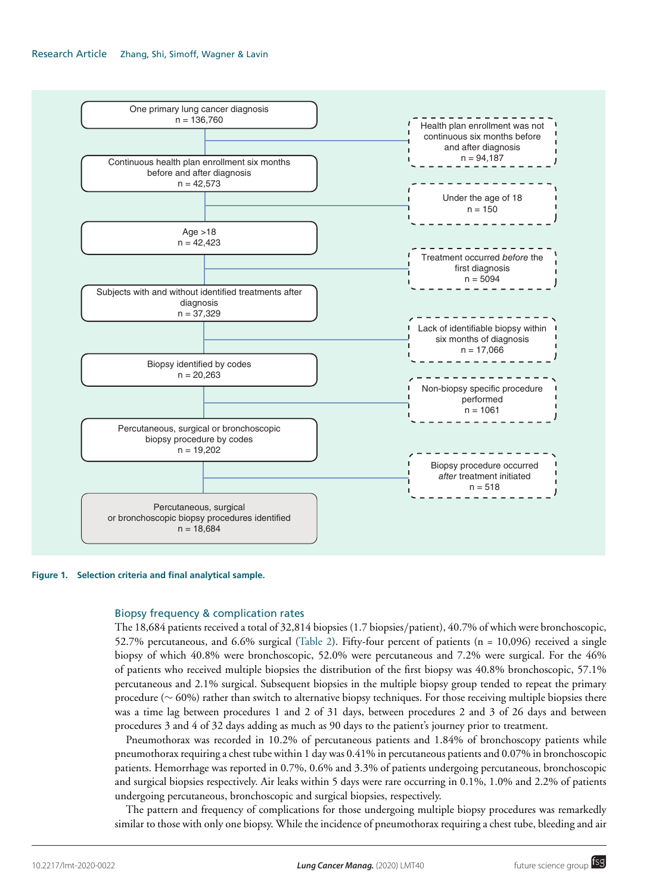#### Research Article Zhang, Shi, Simoff, Wagner & Lavin



#### **Figure 1. Selection criteria and final analytical sample.**

#### Biopsy frequency & complication rates

The 18,684 patients received a total of 32,814 biopsies (1.7 biopsies/patient), 40.7% of which were bronchoscopic, 52.7% percutaneous, and 6.6% surgical (Table 2). Fifty-four percent of patients (n = 10,096) received a single biopsy of which 40.8% were bronchoscopic, 52.0% were percutaneous and 7.2% were surgical. For the 46% of patients who received multiple biopsies the distribution of the first biopsy was 40.8% bronchoscopic, 57.1% percutaneous and 2.1% surgical. Subsequent biopsies in the multiple biopsy group tended to repeat the primary procedure (∼ 60%) rather than switch to alternative biopsy techniques. For those receiving multiple biopsies there was a time lag between procedures 1 and 2 of 31 days, between procedures 2 and 3 of 26 days and between procedures 3 and 4 of 32 days adding as much as 90 days to the patient's journey prior to treatment.

Pneumothorax was recorded in 10.2% of percutaneous patients and 1.84% of bronchoscopy patients while pneumothorax requiring a chest tube within 1 day was 0.41% in percutaneous patients and 0.07% in bronchoscopic patients. Hemorrhage was reported in 0.7%, 0.6% and 3.3% of patients undergoing percutaneous, bronchoscopic and surgical biopsies respectively. Air leaks within 5 days were rare occurring in 0.1%, 1.0% and 2.2% of patients undergoing percutaneous, bronchoscopic and surgical biopsies, respectively.

The pattern and frequency of complications for those undergoing multiple biopsy procedures was remarkedly similar to those with only one biopsy. While the incidence of pneumothorax requiring a chest tube, bleeding and air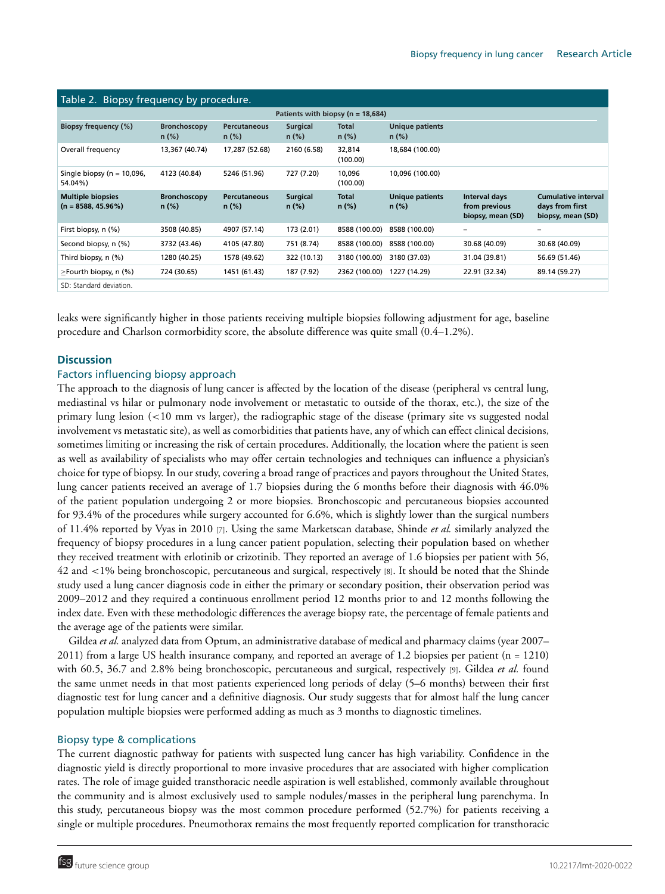| Table 2. Biopsy frequency by procedure.           |                                 |                                 |                             |                         |                                    |                                                     |                                                                    |
|---------------------------------------------------|---------------------------------|---------------------------------|-----------------------------|-------------------------|------------------------------------|-----------------------------------------------------|--------------------------------------------------------------------|
| Patients with biopsy ( $n = 18,684$ )             |                                 |                                 |                             |                         |                                    |                                                     |                                                                    |
| Biopsy frequency (%)                              | <b>Bronchoscopy</b><br>$n (\%)$ | <b>Percutaneous</b><br>$n (\%)$ | <b>Surgical</b><br>$n (\%)$ | <b>Total</b><br>$n$ (%) | <b>Unique patients</b><br>$n$ (%)  |                                                     |                                                                    |
| Overall frequency                                 | 13,367 (40.74)                  | 17,287 (52.68)                  | 2160 (6.58)                 | 32,814<br>(100.00)      | 18,684 (100.00)                    |                                                     |                                                                    |
| Single biopsy ( $n = 10,096$ ,<br>54.04%)         | 4123 (40.84)                    | 5246 (51.96)                    | 727 (7.20)                  | 10,096<br>(100.00)      | 10,096 (100.00)                    |                                                     |                                                                    |
| <b>Multiple biopsies</b><br>$(n = 8588, 45.96\%)$ | <b>Bronchoscopy</b><br>$n (\%)$ | <b>Percutaneous</b><br>$n$ (%)  | <b>Surgical</b><br>$n (\%)$ | <b>Total</b><br>$n$ (%) | <b>Unique patients</b><br>$n (\%)$ | Interval days<br>from previous<br>biopsy, mean (SD) | <b>Cumulative interval</b><br>days from first<br>biopsy, mean (SD) |
| First biopsy, n (%)                               | 3508 (40.85)                    | 4907 (57.14)                    | 173 (2.01)                  | 8588 (100.00)           | 8588 (100.00)                      | $\qquad \qquad =$                                   | $\qquad \qquad =$                                                  |
| Second biopsy, n (%)                              | 3732 (43.46)                    | 4105 (47.80)                    | 751 (8.74)                  | 8588 (100.00)           | 8588 (100.00)                      | 30.68 (40.09)                                       | 30.68 (40.09)                                                      |
| Third biopsy, n (%)                               | 1280 (40.25)                    | 1578 (49.62)                    | 322 (10.13)                 | 3180 (100.00)           | 3180 (37.03)                       | 31.04 (39.81)                                       | 56.69 (51.46)                                                      |
| $\ge$ Fourth biopsy, n (%)                        | 724 (30.65)                     | 1451 (61.43)                    | 187 (7.92)                  | 2362 (100.00)           | 1227 (14.29)                       | 22.91 (32.34)                                       | 89.14 (59.27)                                                      |
| SD: Standard deviation.                           |                                 |                                 |                             |                         |                                    |                                                     |                                                                    |

leaks were significantly higher in those patients receiving multiple biopsies following adjustment for age, baseline procedure and Charlson cormorbidity score, the absolute difference was quite small (0.4–1.2%).

#### **Discussion**

#### Factors influencing biopsy approach

The approach to the diagnosis of lung cancer is affected by the location of the disease (peripheral vs central lung, mediastinal vs hilar or pulmonary node involvement or metastatic to outside of the thorax, etc.), the size of the primary lung lesion (<10 mm vs larger), the radiographic stage of the disease (primary site vs suggested nodal involvement vs metastatic site), as well as comorbidities that patients have, any of which can effect clinical decisions, sometimes limiting or increasing the risk of certain procedures. Additionally, the location where the patient is seen as well as availability of specialists who may offer certain technologies and techniques can influence a physician's choice for type of biopsy. In our study, covering a broad range of practices and payors throughout the United States, lung cancer patients received an average of 1.7 biopsies during the 6 months before their diagnosis with 46.0% of the patient population undergoing 2 or more biopsies. Bronchoscopic and percutaneous biopsies accounted for 93.4% of the procedures while surgery accounted for 6.6%, which is slightly lower than the surgical numbers of 11.4% reported by Vyas in 2010 [7]. Using the same Marketscan database, Shinde *et al.* similarly analyzed the frequency of biopsy procedures in a lung cancer patient population, selecting their population based on whether they received treatment with erlotinib or crizotinib. They reported an average of 1.6 biopsies per patient with 56, 42 and <1% being bronchoscopic, percutaneous and surgical, respectively [8]. It should be noted that the Shinde study used a lung cancer diagnosis code in either the primary or secondary position, their observation period was 2009–2012 and they required a continuous enrollment period 12 months prior to and 12 months following the index date. Even with these methodologic differences the average biopsy rate, the percentage of female patients and the average age of the patients were similar.

Gildea *et al.* analyzed data from Optum, an administrative database of medical and pharmacy claims (year 2007– 2011) from a large US health insurance company, and reported an average of 1.2 biopsies per patient (n = 1210) with 60.5, 36.7 and 2.8% being bronchoscopic, percutaneous and surgical, respectively [9]. Gildea *et al.* found the same unmet needs in that most patients experienced long periods of delay (5–6 months) between their first diagnostic test for lung cancer and a definitive diagnosis. Our study suggests that for almost half the lung cancer population multiple biopsies were performed adding as much as 3 months to diagnostic timelines.

#### Biopsy type & complications

The current diagnostic pathway for patients with suspected lung cancer has high variability. Confidence in the diagnostic yield is directly proportional to more invasive procedures that are associated with higher complication rates. The role of image guided transthoracic needle aspiration is well established, commonly available throughout the community and is almost exclusively used to sample nodules/masses in the peripheral lung parenchyma. In this study, percutaneous biopsy was the most common procedure performed (52.7%) for patients receiving a single or multiple procedures. Pneumothorax remains the most frequently reported complication for transthoracic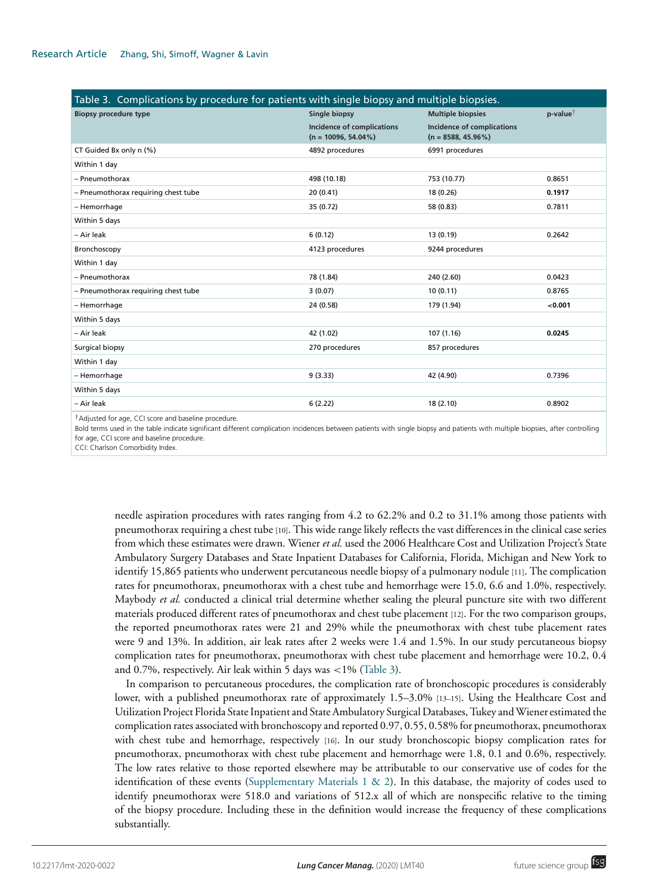| Table 3. Complications by procedure for patients with single biopsy and multiple biopsies. |                                                             |                                                            |                      |  |  |  |
|--------------------------------------------------------------------------------------------|-------------------------------------------------------------|------------------------------------------------------------|----------------------|--|--|--|
| <b>Biopsy procedure type</b>                                                               | <b>Single biopsy</b>                                        | <b>Multiple biopsies</b>                                   | p-value $^{\dagger}$ |  |  |  |
|                                                                                            | <b>Incidence of complications</b><br>$(n = 10096, 54.04\%)$ | <b>Incidence of complications</b><br>$(n = 8588, 45.96\%)$ |                      |  |  |  |
| CT Guided Bx only n (%)                                                                    | 4892 procedures                                             | 6991 procedures                                            |                      |  |  |  |
| Within 1 day                                                                               |                                                             |                                                            |                      |  |  |  |
| - Pneumothorax                                                                             | 498 (10.18)                                                 | 753 (10.77)                                                | 0.8651               |  |  |  |
| - Pneumothorax requiring chest tube                                                        | 20 (0.41)                                                   | 18 (0.26)                                                  | 0.1917               |  |  |  |
| - Hemorrhage                                                                               | 35 (0.72)                                                   | 58 (0.83)                                                  | 0.7811               |  |  |  |
| Within 5 days                                                                              |                                                             |                                                            |                      |  |  |  |
| - Air leak                                                                                 | 6(0.12)                                                     | 13 (0.19)                                                  | 0.2642               |  |  |  |
| Bronchoscopy                                                                               | 4123 procedures                                             | 9244 procedures                                            |                      |  |  |  |
| Within 1 day                                                                               |                                                             |                                                            |                      |  |  |  |
| - Pneumothorax                                                                             | 78 (1.84)                                                   | 240 (2.60)                                                 | 0.0423               |  |  |  |
| - Pneumothorax requiring chest tube                                                        | 3(0.07)                                                     | 10(0.11)                                                   | 0.8765               |  |  |  |
| - Hemorrhage                                                                               | 24 (0.58)                                                   | 179 (1.94)                                                 | < 0.001              |  |  |  |
| Within 5 days                                                                              |                                                             |                                                            |                      |  |  |  |
| - Air leak                                                                                 | 42 (1.02)                                                   | 107 (1.16)                                                 | 0.0245               |  |  |  |
| Surgical biopsy                                                                            | 270 procedures                                              | 857 procedures                                             |                      |  |  |  |
| Within 1 day                                                                               |                                                             |                                                            |                      |  |  |  |
| - Hemorrhage                                                                               | 9(3.33)                                                     | 42 (4.90)                                                  | 0.7396               |  |  |  |
| Within 5 days                                                                              |                                                             |                                                            |                      |  |  |  |
| - Air leak                                                                                 | 6(2.22)                                                     | 18(2.10)                                                   | 0.8902               |  |  |  |
|                                                                                            |                                                             |                                                            |                      |  |  |  |

†Adjusted for age, CCI score and baseline procedure.

Bold terms used in the table indicate significant different complication incidences between patients with single biopsy and patients with multiple biopsies, after controlling for age, CCI score and baseline procedure.

CCI: Charlson Comorbidity Index.

needle aspiration procedures with rates ranging from 4.2 to 62.2% and 0.2 to 31.1% among those patients with pneumothorax requiring a chest tube [10]. This wide range likely reflects the vast differences in the clinical case series from which these estimates were drawn. Wiener *et al.* used the 2006 Healthcare Cost and Utilization Project's State Ambulatory Surgery Databases and State Inpatient Databases for California, Florida, Michigan and New York to identify 15,865 patients who underwent percutaneous needle biopsy of a pulmonary nodule [11]. The complication rates for pneumothorax, pneumothorax with a chest tube and hemorrhage were 15.0, 6.6 and 1.0%, respectively. Maybody *et al.* conducted a clinical trial determine whether sealing the pleural puncture site with two different materials produced different rates of pneumothorax and chest tube placement [12]. For the two comparison groups, the reported pneumothorax rates were 21 and 29% while the pneumothorax with chest tube placement rates were 9 and 13%. In addition, air leak rates after 2 weeks were 1.4 and 1.5%. In our study percutaneous biopsy complication rates for pneumothorax, pneumothorax with chest tube placement and hemorrhage were 10.2, 0.4 and 0.7%, respectively. Air leak within 5 days was  $\langle 1\%$  (Table 3).

In comparison to percutaneous procedures, the complication rate of bronchoscopic procedures is considerably lower, with a published pneumothorax rate of approximately 1.5–3.0% [13–15]. Using the Healthcare Cost and Utilization Project Florida State Inpatient and State Ambulatory Surgical Databases, Tukey andWiener estimated the complication rates associated with bronchoscopy and reported 0.97, 0.55, 0.58% for pneumothorax, pneumothorax with chest tube and hemorrhage, respectively [16]. In our study bronchoscopic biopsy complication rates for pneumothorax, pneumothorax with chest tube placement and hemorrhage were 1.8, 0.1 and 0.6%, respectively. The low rates relative to those reported elsewhere may be attributable to our conservative use of codes for the identification of these events (Supplementary Materials 1 & 2). In this database, the majority of codes used to identify pneumothorax were 518.0 and variations of 512.x all of which are nonspecific relative to the timing of the biopsy procedure. Including these in the definition would increase the frequency of these complications substantially.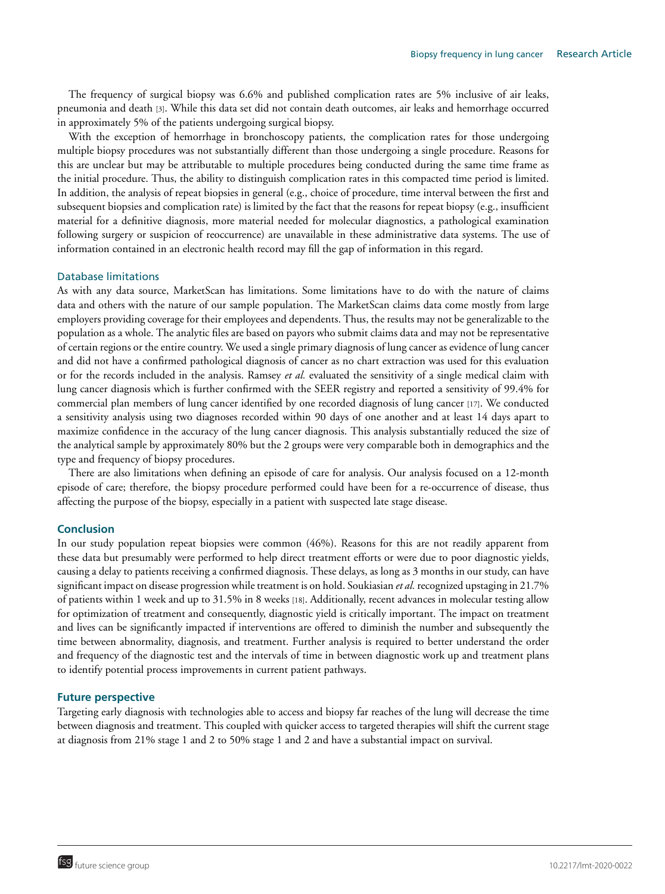The frequency of surgical biopsy was 6.6% and published complication rates are 5% inclusive of air leaks, pneumonia and death [3]. While this data set did not contain death outcomes, air leaks and hemorrhage occurred in approximately 5% of the patients undergoing surgical biopsy.

With the exception of hemorrhage in bronchoscopy patients, the complication rates for those undergoing multiple biopsy procedures was not substantially different than those undergoing a single procedure. Reasons for this are unclear but may be attributable to multiple procedures being conducted during the same time frame as the initial procedure. Thus, the ability to distinguish complication rates in this compacted time period is limited. In addition, the analysis of repeat biopsies in general (e.g., choice of procedure, time interval between the first and subsequent biopsies and complication rate) is limited by the fact that the reasons for repeat biopsy (e.g., insufficient material for a definitive diagnosis, more material needed for molecular diagnostics, a pathological examination following surgery or suspicion of reoccurrence) are unavailable in these administrative data systems. The use of information contained in an electronic health record may fill the gap of information in this regard.

#### Database limitations

As with any data source, MarketScan has limitations. Some limitations have to do with the nature of claims data and others with the nature of our sample population. The MarketScan claims data come mostly from large employers providing coverage for their employees and dependents. Thus, the results may not be generalizable to the population as a whole. The analytic files are based on payors who submit claims data and may not be representative of certain regions or the entire country. We used a single primary diagnosis of lung cancer as evidence of lung cancer and did not have a confirmed pathological diagnosis of cancer as no chart extraction was used for this evaluation or for the records included in the analysis. Ramsey *et al.* evaluated the sensitivity of a single medical claim with lung cancer diagnosis which is further confirmed with the SEER registry and reported a sensitivity of 99.4% for commercial plan members of lung cancer identified by one recorded diagnosis of lung cancer [17]. We conducted a sensitivity analysis using two diagnoses recorded within 90 days of one another and at least 14 days apart to maximize confidence in the accuracy of the lung cancer diagnosis. This analysis substantially reduced the size of the analytical sample by approximately 80% but the 2 groups were very comparable both in demographics and the type and frequency of biopsy procedures.

There are also limitations when defining an episode of care for analysis. Our analysis focused on a 12-month episode of care; therefore, the biopsy procedure performed could have been for a re-occurrence of disease, thus affecting the purpose of the biopsy, especially in a patient with suspected late stage disease.

#### **Conclusion**

In our study population repeat biopsies were common (46%). Reasons for this are not readily apparent from these data but presumably were performed to help direct treatment efforts or were due to poor diagnostic yields, causing a delay to patients receiving a confirmed diagnosis. These delays, as long as 3 months in our study, can have significant impact on disease progression while treatment is on hold. Soukiasian *et al.* recognized upstaging in 21.7% of patients within 1 week and up to 31.5% in 8 weeks [18]. Additionally, recent advances in molecular testing allow for optimization of treatment and consequently, diagnostic yield is critically important. The impact on treatment and lives can be significantly impacted if interventions are offered to diminish the number and subsequently the time between abnormality, diagnosis, and treatment. Further analysis is required to better understand the order and frequency of the diagnostic test and the intervals of time in between diagnostic work up and treatment plans to identify potential process improvements in current patient pathways.

#### **Future perspective**

Targeting early diagnosis with technologies able to access and biopsy far reaches of the lung will decrease the time between diagnosis and treatment. This coupled with quicker access to targeted therapies will shift the current stage at diagnosis from 21% stage 1 and 2 to 50% stage 1 and 2 and have a substantial impact on survival.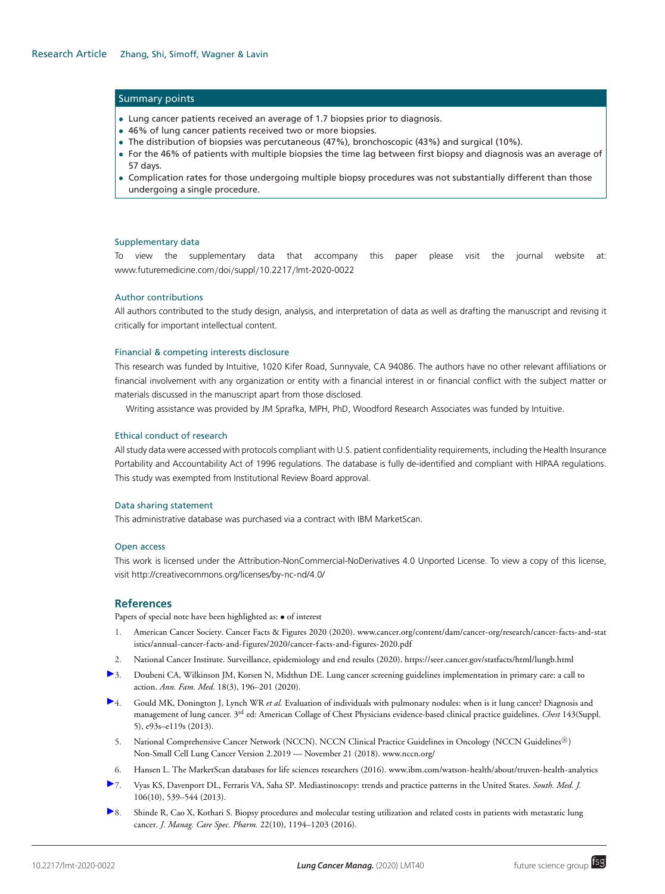#### Summary points

- Lung cancer patients received an average of 1.7 biopsies prior to diagnosis.
- 46% of lung cancer patients received two or more biopsies.
- The distribution of biopsies was percutaneous (47%), bronchoscopic (43%) and surgical (10%).
- For the 46% of patients with multiple biopsies the time lag between first biopsy and diagnosis was an average of 57 days.
- Complication rates for those undergoing multiple biopsy procedures was not substantially different than those undergoing a single procedure.

#### Supplementary data

To view the supplementary data that accompany this paper please visit the journal website at: [www.futuremedicine.com](http://www.futuremedicine.com/doi/suppl/10.2217/lmt-2020-0022)/doi/suppl/10.2217/lmt-2020-0022

#### Author contributions

All authors contributed to the study design, analysis, and interpretation of data as well as drafting the manuscript and revising it critically for important intellectual content.

#### Financial & competing interests disclosure

This research was funded by Intuitive, 1020 Kifer Road, Sunnyvale, CA 94086. The authors have no other relevant affiliations or financial involvement with any organization or entity with a financial interest in or financial conflict with the subject matter or materials discussed in the manuscript apart from those disclosed.

Writing assistance was provided by JM Sprafka, MPH, PhD, Woodford Research Associates was funded by Intuitive.

#### Ethical conduct of research

All study data were accessed with protocols compliant with U.S. patient confidentiality requirements, including the Health Insurance Portability and Accountability Act of 1996 regulations. The database is fully de-identified and compliant with HIPAA regulations. This study was exempted from Institutional Review Board approval.

#### Data sharing statement

This administrative database was purchased via a contract with IBM MarketScan.

#### Open access

This work is licensed under the Attribution-NonCommercial-NoDerivatives 4.0 Unported License. To view a copy of this license, visit<http://creativecommons.org/licenses/by-nc-nd/4.0/>

#### **References**

Papers of special note have been highlighted as: • of interest

- 1. [American Cancer Society. Cancer Facts & Figures 2020 \(2020\). www.cancer.org/content/dam/cancer-org/research/cancer-facts-and-stat](http://www.cancer.org/content/dam/cancer-org/research/cancer-facts-and-statistics/annual-cancer-facts-and-figures/2020/cancer-facts-and-figures-2020.pdf) istics/annual-cancer-facts-and-figures/2020/cancer-facts-and-figures-2020.pdf
- 2. National Cancer Institute. Surveillance, epidemiology and end results (2020).<https://seer.cancer.gov/statfacts/html/lungb.html>
- [3](https://www.futuremedicine.com/action/showLinks?pmid=32393553&crossref=10.1370%2Fafm.2541&citationId=p_4). Doubeni CA, Wilkinson JM, Korsen N, Midthun DE. Lung cancer screening guidelines implementation in primary care: a call to action. *Ann. Fam. Med.* 18(3), 196–201 (2020).
- [4](https://www.futuremedicine.com/action/showLinks?crossref=10.1378%2Fchest.12-2351&citationId=p_5). Gould MK, Donington J, Lynch WR *et al.* Evaluation of individuals with pulmonary nodules: when is it lung cancer? Diagnosis and management of lung cancer. 3rd ed: American Collage of Chest Physicians evidence-based clinical practice guidelines. *Chest* 143(Suppl. 5), e93s–e119s (2013).
- 5. National Comprehensive Cancer Network (NCCN). NCCN Clinical Practice Guidelines in Oncology (NCCN Guidelines<sup>(B)</sup>) Non-Small Cell Lung Cancer Version 2.2019 — November 21 (2018). [www.nccn.org/](http://www.nccn.org/)
- 6. Hansen L. The MarketScan databases for life sciences researchers (2016). [www.ibm.com/watson-health/about/truven-health-analytics](https://www.ibm.com/watson-health/about/truven-health-analytics)
- [7](https://www.futuremedicine.com/action/showLinks?pmid=24096946&crossref=10.1097%2FSMJ.0000000000000000&citationId=p_8). Vyas KS, Davenport DL, Ferraris VA, Saha SP. Mediastinoscopy: trends and practice patterns in the United States. *South. Med. J.* 106(10), 539–544 (2013).
- [8](https://www.futuremedicine.com/action/showLinks?pmid=27668568&citationId=p_9). Shinde R, Cao X, Kothari S. Biopsy procedures and molecular testing utilization and related costs in patients with metastatic lung cancer. *J. Manag. Care Spec. Pharm.* 22(10), 1194–1203 (2016).